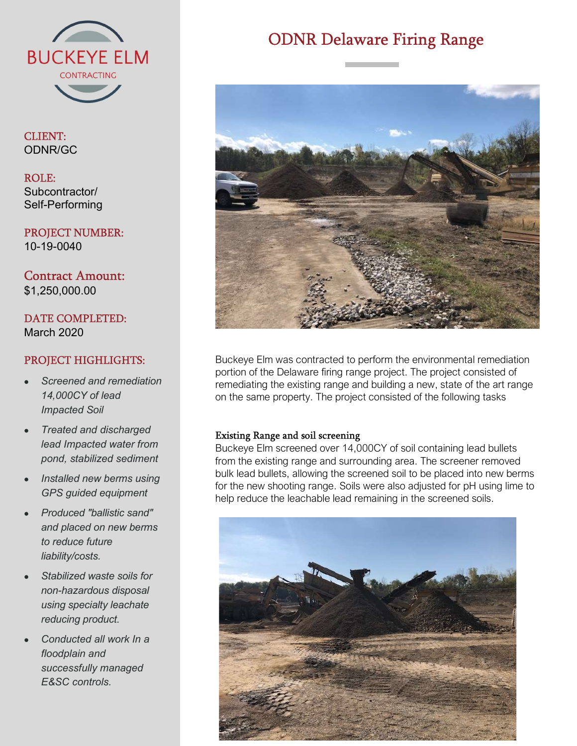

CLIENT: ODNR/GC

## ROLE: Subcontractor/ Self-Performing

PROJECT NUMBER: 10-19-0040

Contract Amount: \$1,250,000.00

DATE COMPLETED: March 2020

# PROJECT HIGHLIGHTS:

- Screened and remediation 14,000CY of lead Impacted Soil
- Treated and discharged lead Impacted water from pond, stabilized sediment
- Installed new berms using GPS guided equipment
- Produced "ballistic sand" and placed on new berms to reduce future liability/costs.
- Stabilized waste soils for non-hazardous disposal using specialty leachate reducing product.
- Conducted all work In a floodplain and successfully managed E&SC controls.

# ODNR Delaware Firing Range



Buckeye Elm was contracted to perform the environmental remediation portion of the Delaware firing range project. The project consisted of remediating the existing range and building a new, state of the art range on the same property. The project consisted of the following tasks

## Existing Range and soil screening

Buckeye Elm screened over 14,000CY of soil containing lead bullets from the existing range and surrounding area. The screener removed bulk lead bullets, allowing the screened soil to be placed into new berms for the new shooting range. Soils were also adjusted for pH using lime to help reduce the leachable lead remaining in the screened soils.